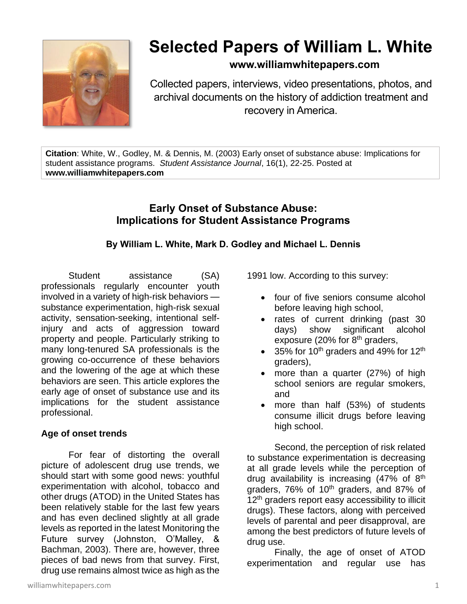

# **Selected Papers of William L. White**

# **www.williamwhitepapers.com**

Collected papers, interviews, video presentations, photos, and archival documents on the history of addiction treatment and recovery in America.

**Citation**: White, W., Godley, M. & Dennis, M. (2003) Early onset of substance abuse: Implications for student assistance programs. *Student Assistance Journal*, 16(1), 22-25. Posted at **www.williamwhitepapers.com**

## **Early Onset of Substance Abuse: Implications for Student Assistance Programs**

## **By William L. White, Mark D. Godley and Michael L. Dennis**

Student assistance (SA) professionals regularly encounter youth involved in a variety of high-risk behaviors substance experimentation, high-risk sexual activity, sensation-seeking, intentional selfinjury and acts of aggression toward property and people. Particularly striking to many long-tenured SA professionals is the growing co-occurrence of these behaviors and the lowering of the age at which these behaviors are seen. This article explores the early age of onset of substance use and its implications for the student assistance professional.

#### **Age of onset trends**

For fear of distorting the overall picture of adolescent drug use trends, we should start with some good news: youthful experimentation with alcohol, tobacco and other drugs (ATOD) in the United States has been relatively stable for the last few years and has even declined slightly at all grade levels as reported in the latest Monitoring the Future survey (Johnston, O'Malley, & Bachman, 2003). There are, however, three pieces of bad news from that survey. First, drug use remains almost twice as high as the

williamwhitepapers.com 1

1991 low. According to this survey:

- four of five seniors consume alcohol before leaving high school,
- rates of current drinking (past 30 days) show significant alcohol exposure (20% for 8<sup>th</sup> graders,
- 35% for 10<sup>th</sup> graders and 49% for 12<sup>th</sup> graders),
- more than a quarter (27%) of high school seniors are regular smokers, and
- more than half  $(53%)$  of students consume illicit drugs before leaving high school.

Second, the perception of risk related to substance experimentation is decreasing at all grade levels while the perception of drug availability is increasing  $(47\% \text{ of } 8^{\text{th}})$ graders, 76% of 10<sup>th</sup> graders, and 87% of 12<sup>th</sup> graders report easy accessibility to illicit drugs). These factors, along with perceived levels of parental and peer disapproval, are among the best predictors of future levels of drug use.

Finally, the age of onset of ATOD experimentation and regular use has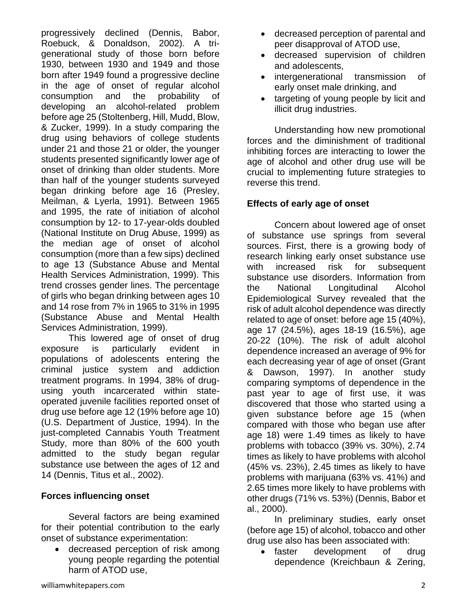progressively declined (Dennis, Babor, Roebuck, & Donaldson, 2002). A trigenerational study of those born before 1930, between 1930 and 1949 and those born after 1949 found a progressive decline in the age of onset of regular alcohol consumption and the probability of developing an alcohol-related problem before age 25 (Stoltenberg, Hill, Mudd, Blow, & Zucker, 1999). In a study comparing the drug using behaviors of college students under 21 and those 21 or older, the younger students presented significantly lower age of onset of drinking than older students. More than half of the younger students surveyed began drinking before age 16 (Presley, Meilman, & Lyerla, 1991). Between 1965 and 1995, the rate of initiation of alcohol consumption by 12- to 17-year-olds doubled (National Institute on Drug Abuse, 1999) as the median age of onset of alcohol consumption (more than a few sips) declined to age 13 (Substance Abuse and Mental Health Services Administration, 1999). This trend crosses gender lines. The percentage of girls who began drinking between ages 10 and 14 rose from 7% in 1965 to 31% in 1995 (Substance Abuse and Mental Health Services Administration, 1999).

This lowered age of onset of drug exposure is particularly evident in populations of adolescents entering the criminal justice system and addiction treatment programs. In 1994, 38% of drugusing youth incarcerated within stateoperated juvenile facilities reported onset of drug use before age 12 (19% before age 10) (U.S. Department of Justice, 1994). In the just-completed Cannabis Youth Treatment Study, more than 80% of the 600 youth admitted to the study began regular substance use between the ages of 12 and 14 (Dennis, Titus et al., 2002).

#### **Forces influencing onset**

Several factors are being examined for their potential contribution to the early onset of substance experimentation:

• decreased perception of risk among young people regarding the potential harm of ATOD use,

- decreased perception of parental and peer disapproval of ATOD use,
- decreased supervision of children and adolescents,
- intergenerational transmission of early onset male drinking, and
- targeting of young people by licit and illicit drug industries.

Understanding how new promotional forces and the diminishment of traditional inhibiting forces are interacting to lower the age of alcohol and other drug use will be crucial to implementing future strategies to reverse this trend.

## **Effects of early age of onset**

Concern about lowered age of onset of substance use springs from several sources. First, there is a growing body of research linking early onset substance use with increased risk for subsequent substance use disorders. Information from the National Longitudinal Alcohol Epidemiological Survey revealed that the risk of adult alcohol dependence was directly related to age of onset: before age 15 (40%), age 17 (24.5%), ages 18-19 (16.5%), age 20-22 (10%). The risk of adult alcohol dependence increased an average of 9% for each decreasing year of age of onset (Grant & Dawson, 1997). In another study comparing symptoms of dependence in the past year to age of first use, it was discovered that those who started using a given substance before age 15 (when compared with those who began use after age 18) were 1.49 times as likely to have problems with tobacco (39% vs. 30%), 2.74 times as likely to have problems with alcohol (45% vs. 23%), 2.45 times as likely to have problems with marijuana (63% vs. 41%) and 2.65 times more likely to have problems with other drugs (71% vs. 53%) (Dennis, Babor et al., 2000).

In preliminary studies, early onset (before age 15) of alcohol, tobacco and other drug use also has been associated with:

• faster development of drug dependence (Kreichbaun & Zering,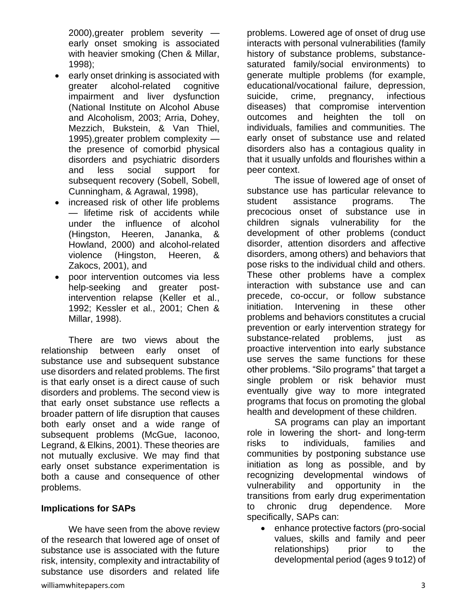2000),greater problem severity early onset smoking is associated with heavier smoking (Chen & Millar, 1998);

- early onset drinking is associated with greater alcohol-related cognitive impairment and liver dysfunction (National Institute on Alcohol Abuse and Alcoholism, 2003; Arria, Dohey, Mezzich, Bukstein, & Van Thiel, 1995),greater problem complexity the presence of comorbid physical disorders and psychiatric disorders and less social support for subsequent recovery (Sobell, Sobell, Cunningham, & Agrawal, 1998),
- increased risk of other life problems — lifetime risk of accidents while under the influence of alcohol (Hingston, Heeren, Jananka, & Howland, 2000) and alcohol-related violence (Hingston, Heeren, & Zakocs, 2001), and
- poor intervention outcomes via less help-seeking and greater postintervention relapse (Keller et al., 1992; Kessler et al., 2001; Chen & Millar, 1998).

There are two views about the relationship between early onset of substance use and subsequent substance use disorders and related problems. The first is that early onset is a direct cause of such disorders and problems. The second view is that early onset substance use reflects a broader pattern of life disruption that causes both early onset and a wide range of subsequent problems (McGue, Iaconoo, Legrand, & Elkins, 2001). These theories are not mutually exclusive. We may find that early onset substance experimentation is both a cause and consequence of other problems.

#### **Implications for SAPs**

We have seen from the above review of the research that lowered age of onset of substance use is associated with the future risk, intensity, complexity and intractability of substance use disorders and related life problems. Lowered age of onset of drug use interacts with personal vulnerabilities (family history of substance problems, substancesaturated family/social environments) to generate multiple problems (for example, educational/vocational failure, depression, suicide, crime, pregnancy, infectious diseases) that compromise intervention outcomes and heighten the toll on individuals, families and communities. The early onset of substance use and related disorders also has a contagious quality in that it usually unfolds and flourishes within a peer context.

The issue of lowered age of onset of substance use has particular relevance to student assistance programs. The precocious onset of substance use in children signals vulnerability for the development of other problems (conduct disorder, attention disorders and affective disorders, among others) and behaviors that pose risks to the individual child and others. These other problems have a complex interaction with substance use and can precede, co-occur, or follow substance initiation. Intervening in these other problems and behaviors constitutes a crucial prevention or early intervention strategy for substance-related problems, just as proactive intervention into early substance use serves the same functions for these other problems. "Silo programs" that target a single problem or risk behavior must eventually give way to more integrated programs that focus on promoting the global health and development of these children.

SA programs can play an important role in lowering the short- and long-term risks to individuals, families and communities by postponing substance use initiation as long as possible, and by recognizing developmental windows of vulnerability and opportunity in the transitions from early drug experimentation to chronic drug dependence. More specifically, SAPs can:

• enhance protective factors (pro-social values, skills and family and peer relationships) prior to the developmental period (ages 9 to12) of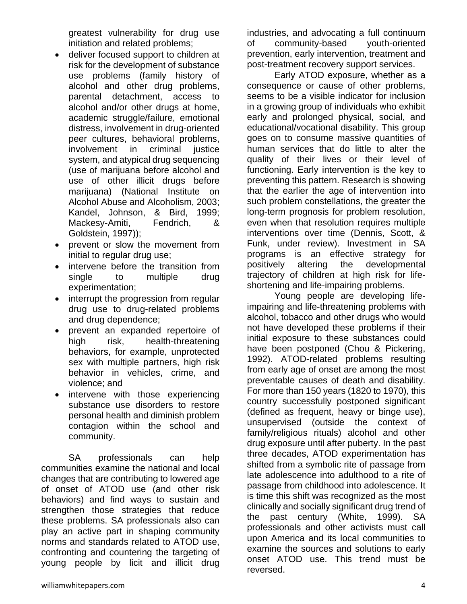greatest vulnerability for drug use initiation and related problems;

- deliver focused support to children at risk for the development of substance use problems (family history of alcohol and other drug problems, parental detachment, access to alcohol and/or other drugs at home, academic struggle/failure, emotional distress, involvement in drug-oriented peer cultures, behavioral problems, involvement in criminal justice system, and atypical drug sequencing (use of marijuana before alcohol and use of other illicit drugs before marijuana) (National Institute on Alcohol Abuse and Alcoholism, 2003; Kandel, Johnson, & Bird, 1999; Mackesy-Amiti, Fendrich, & Goldstein, 1997));
- prevent or slow the movement from initial to regular drug use;
- intervene before the transition from single to multiple drug experimentation;
- interrupt the progression from regular drug use to drug-related problems and drug dependence;
- prevent an expanded repertoire of high risk, health-threatening behaviors, for example, unprotected sex with multiple partners, high risk behavior in vehicles, crime, and violence; and
- intervene with those experiencing substance use disorders to restore personal health and diminish problem contagion within the school and community.

SA professionals can help communities examine the national and local changes that are contributing to lowered age of onset of ATOD use (and other risk behaviors) and find ways to sustain and strengthen those strategies that reduce these problems. SA professionals also can play an active part in shaping community norms and standards related to ATOD use, confronting and countering the targeting of young people by licit and illicit drug industries, and advocating a full continuum of community-based youth-oriented prevention, early intervention, treatment and post-treatment recovery support services.

Early ATOD exposure, whether as a consequence or cause of other problems, seems to be a visible indicator for inclusion in a growing group of individuals who exhibit early and prolonged physical, social, and educational/vocational disability. This group goes on to consume massive quantities of human services that do little to alter the quality of their lives or their level of functioning. Early intervention is the key to preventing this pattern. Research is showing that the earlier the age of intervention into such problem constellations, the greater the long-term prognosis for problem resolution, even when that resolution requires multiple interventions over time (Dennis, Scott, & Funk, under review). Investment in SA programs is an effective strategy for positively altering the developmental trajectory of children at high risk for lifeshortening and life-impairing problems.

Young people are developing lifeimpairing and life-threatening problems with alcohol, tobacco and other drugs who would not have developed these problems if their initial exposure to these substances could have been postponed (Chou & Pickering, 1992). ATOD-related problems resulting from early age of onset are among the most preventable causes of death and disability. For more than 150 years (1820 to 1970), this country successfully postponed significant (defined as frequent, heavy or binge use), unsupervised (outside the context of family/religious rituals) alcohol and other drug exposure until after puberty. In the past three decades, ATOD experimentation has shifted from a symbolic rite of passage from late adolescence into adulthood to a rite of passage from childhood into adolescence. It is time this shift was recognized as the most clinically and socially significant drug trend of the past century (White, 1999). SA professionals and other activists must call upon America and its local communities to examine the sources and solutions to early onset ATOD use. This trend must be reversed.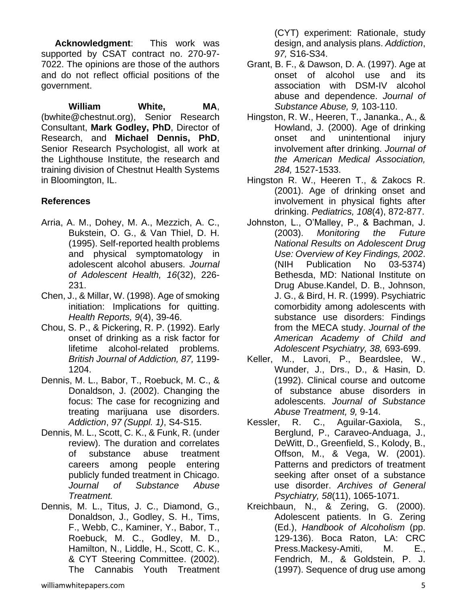**Acknowledgment**: This work was supported by CSAT contract no. 270-97- 7022. The opinions are those of the authors and do not reflect official positions of the government.

**William White, MA**, (bwhite@chestnut.org), Senior Research Consultant, **Mark Godley, PhD**, Director of Research, and **Michael Dennis, PhD**, Senior Research Psychologist, all work at the Lighthouse Institute, the research and training division of Chestnut Health Systems in Bloomington, IL.

## **References**

- Arria, A. M., Dohey, M. A., Mezzich, A. C., Bukstein, O. G., & Van Thiel, D. H. (1995). Self-reported health problems and physical symptomatology in adolescent alcohol abusers. *Journal of Adolescent Health, 16*(32), 226- 231.
- Chen, J., & Millar, W. (1998). Age of smoking initiation: Implications for quitting. *Health Reports, 9*(4), 39-46.
- Chou, S. P., & Pickering, R. P. (1992). Early onset of drinking as a risk factor for lifetime alcohol-related problems. *British Journal of Addiction, 87,* 1199- 1204.
- Dennis, M. L., Babor, T., Roebuck, M. C., & Donaldson, J. (2002). Changing the focus: The case for recognizing and treating marijuana use disorders. *Addiction*, *97 (Suppl. 1)*, S4-S15.
- Dennis, M. L., Scott, C. K., & Funk, R. (under review). The duration and correlates of substance abuse treatment careers among people entering publicly funded treatment in Chicago. *Journal of Substance Abuse Treatment.*
- Dennis, M. L., Titus, J. C., Diamond, G., Donaldson, J., Godley, S. H., Tims, F., Webb, C., Kaminer, Y., Babor, T., Roebuck, M. C., Godley, M. D., Hamilton, N., Liddle, H., Scott, C. K., & CYT Steering Committee. (2002). The Cannabis Youth Treatment

(CYT) experiment: Rationale, study design, and analysis plans. *Addiction*, *97,* S16-S34.

- Grant, B. F., & Dawson, D. A. (1997). Age at onset of alcohol use and its association with DSM-IV alcohol abuse and dependence. *Journal of Substance Abuse, 9,* 103-110.
- Hingston, R. W., Heeren, T., Jananka., A., & Howland, J. (2000). Age of drinking onset and unintentional injury involvement after drinking. *Journal of the American Medical Association, 284,* 1527-1533.
- Hingston R. W., Heeren T., & Zakocs R. (2001). Age of drinking onset and involvement in physical fights after drinking. *Pediatrics, 108*(4), 872-877.
- Johnston, L., O'Malley, P., & Bachman, J. (2003). *Monitoring the Future National Results on Adolescent Drug Use: Overview of Key Findings, 2002*. (NIH Publication No 03-5374) Bethesda, MD: National Institute on Drug Abuse.Kandel, D. B., Johnson, J. G., & Bird, H. R. (1999). Psychiatric comorbidity among adolescents with substance use disorders: Findings from the MECA study. *Journal of the American Academy of Child and Adolescent Psychiatry, 38,* 693-699.
- Keller, M., Lavori, P., Beardslee, W., Wunder, J., Drs., D., & Hasin, D. (1992). Clinical course and outcome of substance abuse disorders in adolescents. *Journal of Substance Abuse Treatment, 9,* 9-14.
- Kessler, R. C., Aguilar-Gaxiola, S., Berglund, P., Caraveo-Anduaga, J., DeWitt, D., Greenfield, S., Kolody, B., Offson, M., & Vega, W. (2001). Patterns and predictors of treatment seeking after onset of a substance use disorder. *Archives of General Psychiatry, 58*(11), 1065-1071.
- Kreichbaun, N., & Zering, G. (2000). Adolescent patients. In G. Zering (Ed.), *Handbook of Alcoholism* (pp. 129-136). Boca Raton, LA: CRC Press.Mackesy-Amiti, M. E., Fendrich, M., & Goldstein, P. J. (1997). Sequence of drug use among